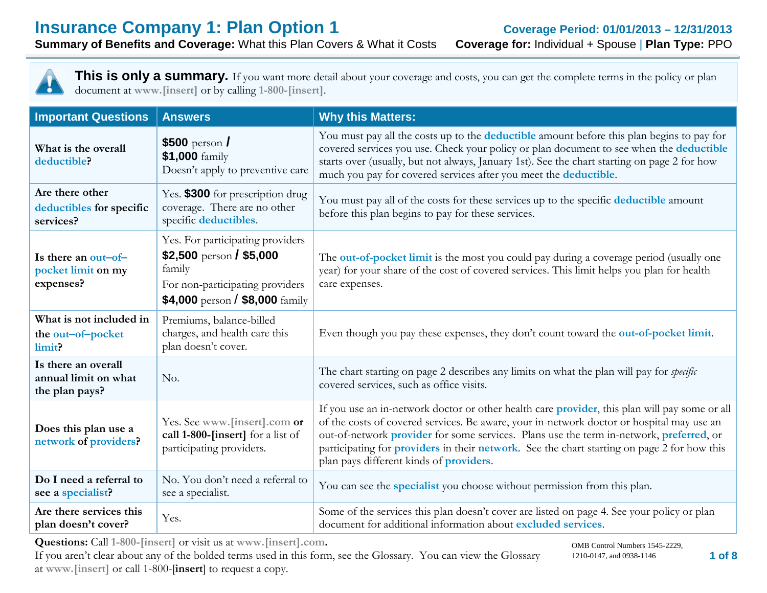**Summary of Benefits and Coverage: What this Plan Covers & What it Costs** 



| <b>Important Questions</b>                                    | <b>Answers</b>                                                                                                                                             | <b>Why this Matters:</b>                                                                                                                                                                                                                                                                                                                                                                                                                |
|---------------------------------------------------------------|------------------------------------------------------------------------------------------------------------------------------------------------------------|-----------------------------------------------------------------------------------------------------------------------------------------------------------------------------------------------------------------------------------------------------------------------------------------------------------------------------------------------------------------------------------------------------------------------------------------|
| What is the overall<br>deductible?                            | $$500$ person /<br>\$1,000 family<br>Doesn't apply to preventive care                                                                                      | You must pay all the costs up to the <b>deductible</b> amount before this plan begins to pay for<br>covered services you use. Check your policy or plan document to see when the deductible<br>starts over (usually, but not always, January 1st). See the chart starting on page 2 for how<br>much you pay for covered services after you meet the deductible.                                                                         |
| Are there other<br>deductibles for specific<br>services?      | Yes. \$300 for prescription drug<br>coverage. There are no other<br>specific deductibles.                                                                  | You must pay all of the costs for these services up to the specific deductible amount<br>before this plan begins to pay for these services.                                                                                                                                                                                                                                                                                             |
| Is there an out-of-<br>pocket limit on my<br>expenses?        | Yes. For participating providers<br>\$2,500 person / \$5,000<br>family<br>For non-participating providers<br>\$4,000 person / \$8,000 $\frac{2}{3}$ family | The out-of-pocket limit is the most you could pay during a coverage period (usually one<br>year) for your share of the cost of covered services. This limit helps you plan for health<br>care expenses.                                                                                                                                                                                                                                 |
| What is not included in<br>the out-of-pocket<br>limit?        | Premiums, balance-billed<br>charges, and health care this<br>plan doesn't cover.                                                                           | Even though you pay these expenses, they don't count toward the out-of-pocket limit.                                                                                                                                                                                                                                                                                                                                                    |
| Is there an overall<br>annual limit on what<br>the plan pays? | No.                                                                                                                                                        | The chart starting on page 2 describes any limits on what the plan will pay for <i>specific</i><br>covered services, such as office visits.                                                                                                                                                                                                                                                                                             |
| Does this plan use a<br>network of providers?                 | Yes. See www.[insert].com or<br>call 1-800-[insert] for a list of<br>participating providers.                                                              | If you use an in-network doctor or other health care provider, this plan will pay some or all<br>of the costs of covered services. Be aware, your in-network doctor or hospital may use an<br>out-of-network provider for some services. Plans use the term in-network, preferred, or<br>participating for providers in their network. See the chart starting on page 2 for how this<br>plan pays different kinds of <b>providers</b> . |
| Do I need a referral to<br>see a specialist?                  | No. You don't need a referral to<br>see a specialist.                                                                                                      | You can see the <i>specialist</i> you choose without permission from this plan.                                                                                                                                                                                                                                                                                                                                                         |
| Are there services this<br>plan doesn't cover?                | Yes.                                                                                                                                                       | Some of the services this plan doesn't cover are listed on page 4. See your policy or plan<br>document for additional information about excluded services.                                                                                                                                                                                                                                                                              |

**Questions:** Call **1-800-[insert]** or visit us at **www.[insert].com.**

If you aren't clear about any of the bolded terms used in this form, see the Glossary. You can view the Glossary at **www.[insert]** or call 1-800-[**insert**] to request a copy.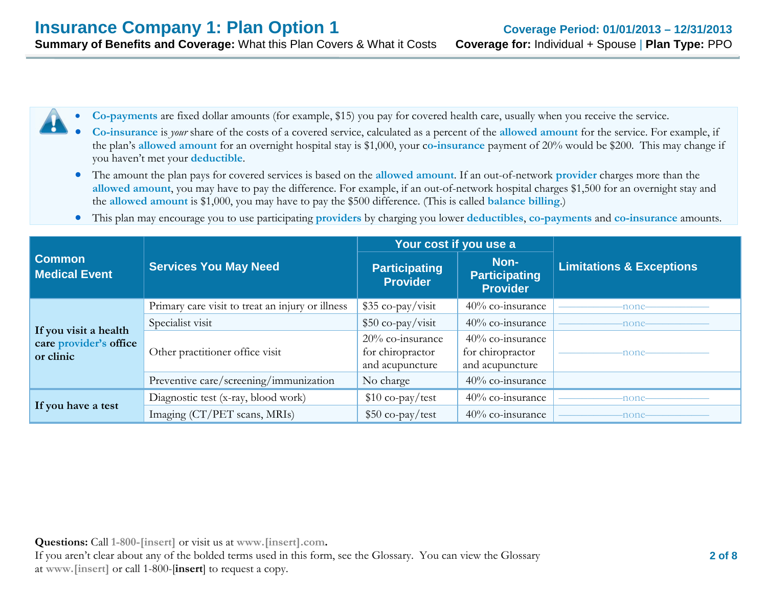- **Co-payments** are fixed dollar amounts (for example, \$15) you pay for covered health care, usually when you receive the service.
	- **Co-insurance** is *your* share of the costs of a covered service, calculated as a percent of the **allowed amount** for the service. For example, if the plan's **allowed amount** for an overnight hospital stay is \$1,000, your c**o-insurance** payment of 20% would be \$200. This may change if you haven't met your **deductible**.
- The amount the plan pays for covered services is based on the **allowed amount**. If an out-of-network **provider** charges more than the **allowed amount**, you may have to pay the difference. For example, if an out-of-network hospital charges \$1,500 for an overnight stay and the **allowed amount** is \$1,000, you may have to pay the \$500 difference. (This is called **balance billing**.)
- This plan may encourage you to use participating **providers** by charging you lower **deductibles**, **co-payments** and **co-insurance** amounts.

|                                                              |                                                  | Your cost if you use a                                  |                                                         |                                     |
|--------------------------------------------------------------|--------------------------------------------------|---------------------------------------------------------|---------------------------------------------------------|-------------------------------------|
| <b>Common</b><br><b>Medical Event</b>                        | <b>Services You May Need</b>                     | <b>Participating</b><br><b>Provider</b>                 | Non-<br><b>Participating</b><br><b>Provider</b>         | <b>Limitations &amp; Exceptions</b> |
|                                                              | Primary care visit to treat an injury or illness | $$35 co-pay/visit$                                      | 40% co-insurance                                        | -none-                              |
| If you visit a health<br>care provider's office<br>or clinic | Specialist visit                                 | \$50 co-pay/visit                                       | 40% co-insurance                                        | -none-                              |
|                                                              | Other practitioner office visit                  | 20% co-insurance<br>for chiropractor<br>and acupuncture | 40% co-insurance<br>for chiropractor<br>and acupuncture | none                                |
|                                                              | Preventive care/screening/immunization           | No charge                                               | 40% co-insurance                                        |                                     |
|                                                              | Diagnostic test (x-ray, blood work)              | $$10$ co-pay/test                                       | 40% co-insurance                                        | none-                               |
| If you have a test                                           | Imaging (CT/PET scans, MRIs)                     | $$50$ co-pay/test                                       | $40\%$ co-insurance                                     | none-                               |

**Questions:** Call **1-800-[insert]** or visit us at **www.[insert].com.** If you aren't clear about any of the bolded terms used in this form, see the Glossary. You can view the Glossary at **www.[insert]** or call 1-800-[**insert**] to request a copy.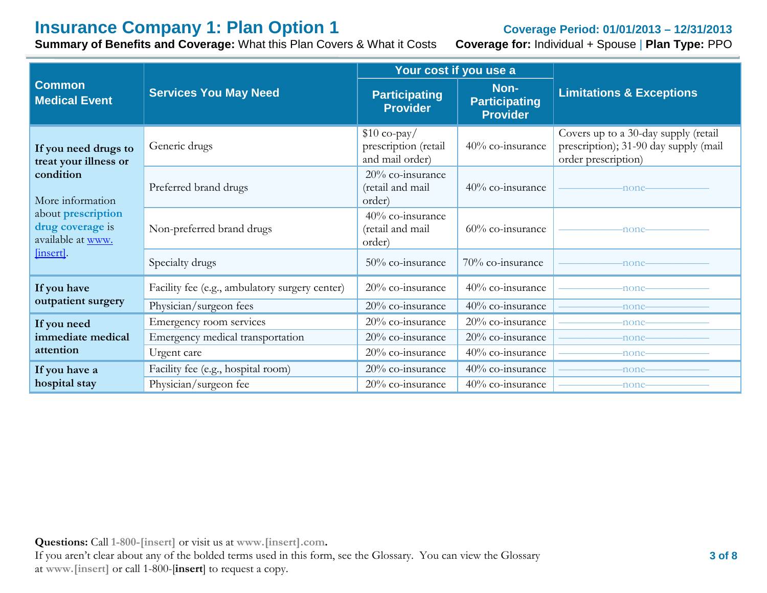# **Insurance Company 1: Plan Option 1 Coverage Period: 01/01/2013 – 12/31/2013**<br> **Summary of Benefits and Coverage:** What this Plan Covers & What it Costs **Coverage for:** Individual + Spouse | Plan Type: PPO

**Summary of Benefits and Coverage: What this Plan Covers & What it Costs** 

|                                                             |                                                | Your cost if you use a                                   |                                                 |                                                                                                      |
|-------------------------------------------------------------|------------------------------------------------|----------------------------------------------------------|-------------------------------------------------|------------------------------------------------------------------------------------------------------|
| <b>Common</b><br><b>Medical Event</b>                       | <b>Services You May Need</b>                   | <b>Participating</b><br><b>Provider</b>                  | Non-<br><b>Participating</b><br><b>Provider</b> | <b>Limitations &amp; Exceptions</b>                                                                  |
| If you need drugs to<br>treat your illness or               | Generic drugs                                  | $$10$ co-pay/<br>prescription (retail<br>and mail order) | 40% co-insurance                                | Covers up to a 30-day supply (retail<br>prescription); 31-90 day supply (mail<br>order prescription) |
| condition<br>More information                               | Preferred brand drugs                          | 20% co-insurance<br>(retail and mail<br>order)           | $40\%$ co-insurance                             | -none-                                                                                               |
| about prescription<br>drug coverage is<br>available at www. | Non-preferred brand drugs                      | 40% co-insurance<br>(retail and mail<br>order)           | $60\%$ co-insurance                             | -none-                                                                                               |
| [insert].                                                   | Specialty drugs                                | 50% co-insurance                                         | 70% co-insurance                                | -none-                                                                                               |
| If you have                                                 | Facility fee (e.g., ambulatory surgery center) | 20% co-insurance                                         | 40% co-insurance                                | -none-                                                                                               |
| outpatient surgery                                          | Physician/surgeon fees                         | 20% co-insurance                                         | 40% co-insurance                                | $-none-$                                                                                             |
| If you need                                                 | Emergency room services                        | 20% co-insurance                                         | $20\%$ co-insurance                             | -none-                                                                                               |
| immediate medical                                           | Emergency medical transportation               | 20% co-insurance                                         | 20% co-insurance                                | -none-                                                                                               |
| attention                                                   | Urgent care                                    | 20% co-insurance                                         | 40% co-insurance                                | -none-                                                                                               |
| If you have a                                               | Facility fee (e.g., hospital room)             | 20% co-insurance                                         | 40% co-insurance                                | -none-                                                                                               |
| hospital stay                                               | Physician/surgeon fee                          | 20% co-insurance                                         | $40\%$ co-insurance                             | -none-                                                                                               |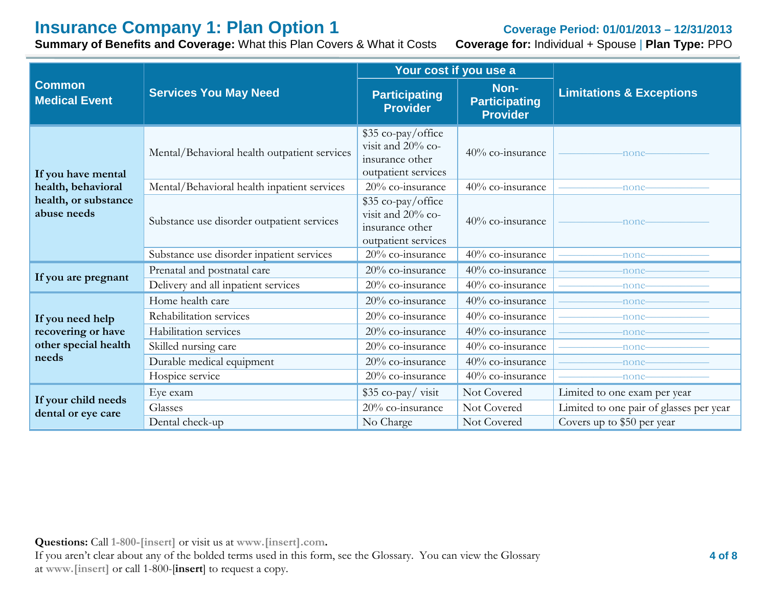# **Insurance Company 1: Plan Option 1 Coverage Period: 01/01/2013 – 12/31/2013**<br>**Summary of Benefits and Coverage:** What this Plan Covers & What it Costs **Coverage for:** Individual + Spouse | Plan Type: PPO

**Summary of Benefits and Coverage: What this Plan Covers & What it Costs** 

|                                           |                                              | Your cost if you use a                                                            |                                                 |                                         |
|-------------------------------------------|----------------------------------------------|-----------------------------------------------------------------------------------|-------------------------------------------------|-----------------------------------------|
| <b>Common</b><br><b>Medical Event</b>     | <b>Services You May Need</b>                 | <b>Participating</b><br><b>Provider</b>                                           | Non-<br><b>Participating</b><br><b>Provider</b> | <b>Limitations &amp; Exceptions</b>     |
| If you have mental                        | Mental/Behavioral health outpatient services | \$35 co-pay/office<br>visit and 20% co-<br>insurance other<br>outpatient services | 40% co-insurance                                | -none-                                  |
| health, behavioral                        | Mental/Behavioral health inpatient services  | 20% co-insurance                                                                  | 40% co-insurance                                | -none-                                  |
| health, or substance<br>abuse needs       | Substance use disorder outpatient services   | \$35 co-pay/office<br>visit and 20% co-<br>insurance other<br>outpatient services | 40% co-insurance                                | -none-                                  |
|                                           | Substance use disorder inpatient services    | 20% co-insurance                                                                  | $\frac{1}{40\%}$ co-insurance                   | -none-                                  |
|                                           | Prenatal and postnatal care                  | 20% co-insurance                                                                  | 40% co-insurance                                | -none-                                  |
| If you are pregnant                       | Delivery and all inpatient services          | 20% co-insurance                                                                  | 40% co-insurance                                | -none-                                  |
|                                           | Home health care                             | 20% co-insurance                                                                  | 40% co-insurance                                | -none-                                  |
| If you need help                          | Rehabilitation services                      | 20% co-insurance                                                                  | 40% co-insurance                                | -none-                                  |
| recovering or have                        | Habilitation services                        | 20% co-insurance                                                                  | 40% co-insurance                                | -none-                                  |
| other special health<br>needs             | Skilled nursing care                         | $20\%$ co-insurance                                                               | 40% co-insurance                                | -none-                                  |
|                                           | Durable medical equipment                    | 20% co-insurance                                                                  | 40% co-insurance                                | -none-                                  |
|                                           | Hospice service                              | $20\%$ co-insurance                                                               | 40% co-insurance                                | -none-                                  |
|                                           | Eye exam                                     | \$35 co-pay/visit                                                                 | Not Covered                                     | Limited to one exam per year            |
| If your child needs<br>dental or eye care | Glasses                                      | 20% co-insurance                                                                  | Not Covered                                     | Limited to one pair of glasses per year |
|                                           | Dental check-up                              | No Charge                                                                         | Not Covered                                     | Covers up to \$50 per year              |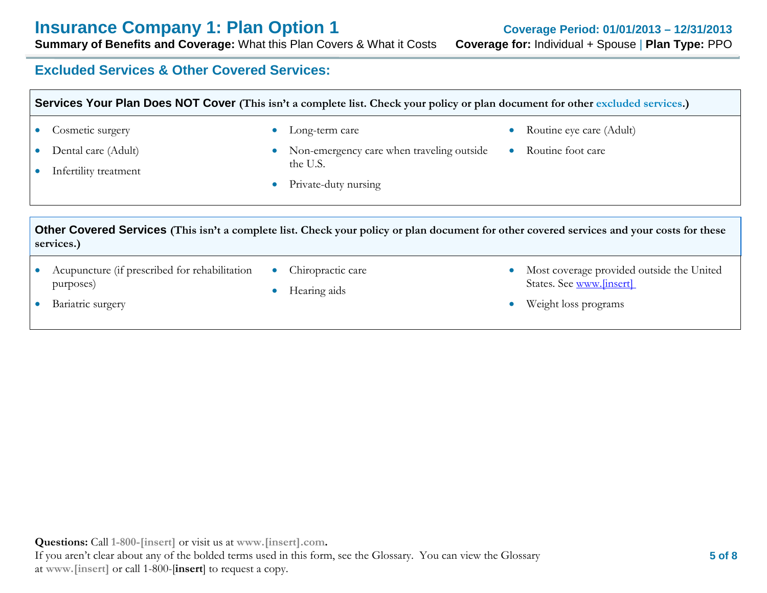**Summary of Benefits and Coverage: What this Plan Covers & What it Costs** 

# **Excluded Services & Other Covered Services:**

| <b>Services Your Plan Does NOT Cover</b> (This isn't a complete list. Check your policy or plan document for other excluded services.) |                                                                          |                                                                                                                                                                                                           |                                                                       |
|----------------------------------------------------------------------------------------------------------------------------------------|--------------------------------------------------------------------------|-----------------------------------------------------------------------------------------------------------------------------------------------------------------------------------------------------------|-----------------------------------------------------------------------|
| $\bullet$<br>$\bullet$                                                                                                                 | • Cosmetic surgery<br>Dental care (Adult)<br>Infertility treatment       | Long-term care<br>$\bullet$<br>Non-emergency care when traveling outside<br>$\bullet$<br>the U.S.<br>Private-duty nursing<br>$\bullet$                                                                    | Routine eye care (Adult)<br>Routine foot care<br>$\bullet$            |
| $\bullet$                                                                                                                              | services.)<br>Acupuncture (if prescribed for rehabilitation<br>purposes) | Other Covered Services (This isn't a complete list. Check your policy or plan document for other covered services and your costs for these<br>Chiropractic care<br>$\bullet$<br>Hearing aids<br>$\bullet$ | Most coverage provided outside the United<br>States. See www.[insert] |
| $\bullet$                                                                                                                              | Bariatric surgery                                                        |                                                                                                                                                                                                           | Weight loss programs                                                  |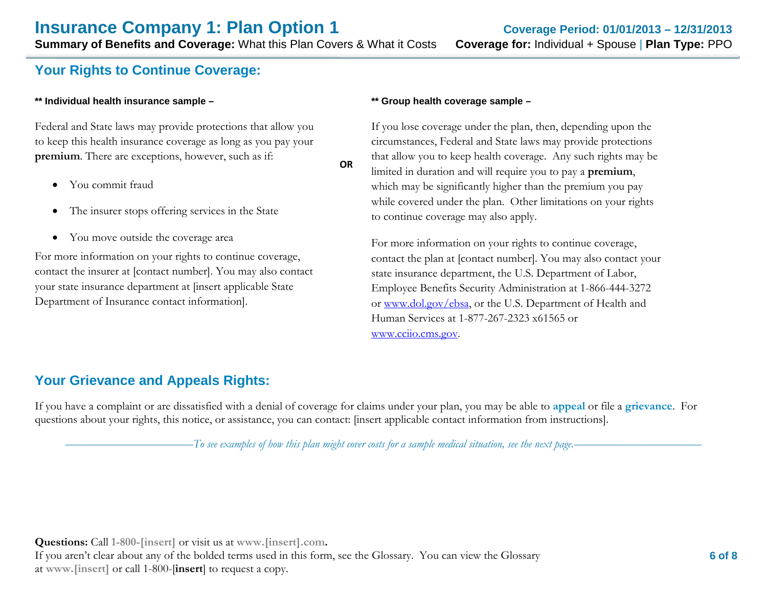# **Your Rights to Continue Coverage:**

#### **\*\* Individual health insurance sample –**

Federal and State laws may provide protections that allow you to keep this health insurance coverage as long as you pay your **premium**. There are exceptions, however, such as if:

- You commit fraud
- The insurer stops offering services in the State
- You move outside the coverage area

For more information on your rights to continue coverage, contact the insurer at [contact number]. You may also contact your state insurance department at [insert applicable State Department of Insurance contact information].

#### **\*\* Group health coverage sample –**

If you lose coverage under the plan, then, depending upon the circumstances, Federal and State laws may provide protections that allow you to keep health coverage. Any such rights may be limited in duration and will require you to pay a **premium**, which may be significantly higher than the premium you pay while covered under the plan. Other limitations on your rights to continue coverage may also apply.

For more information on your rights to continue coverage, contact the plan at [contact number]. You may also contact your state insurance department, the U.S. Department of Labor, Employee Benefits Security Administration at 1-866-444-3272 or [www.dol.gov/ebsa,](http://www.dol.gov/ebsa) or the U.S. Department of Health and Human Services at 1-877-267-2323 x61565 or [www.cciio.cms.gov.](http://www.cciio.cms.gov/)

# **Your Grievance and Appeals Rights:**

If you have a complaint or are dissatisfied with a denial of coverage for claims under your plan, you may be able to **appeal** or file a **grievance**. For questions about your rights, this notice, or assistance, you can contact: [insert applicable contact information from instructions].

**OR**

––––––––––––––––––––––*To see examples of how this plan might cover costs for a sample medical situation, see the next page.–––––––––––*–––––––––––

**Questions:** Call **1-800-[insert]** or visit us at **www.[insert].com.** If you aren't clear about any of the bolded terms used in this form, see the Glossary. You can view the Glossary at **www.[insert]** or call 1-800-[**insert**] to request a copy.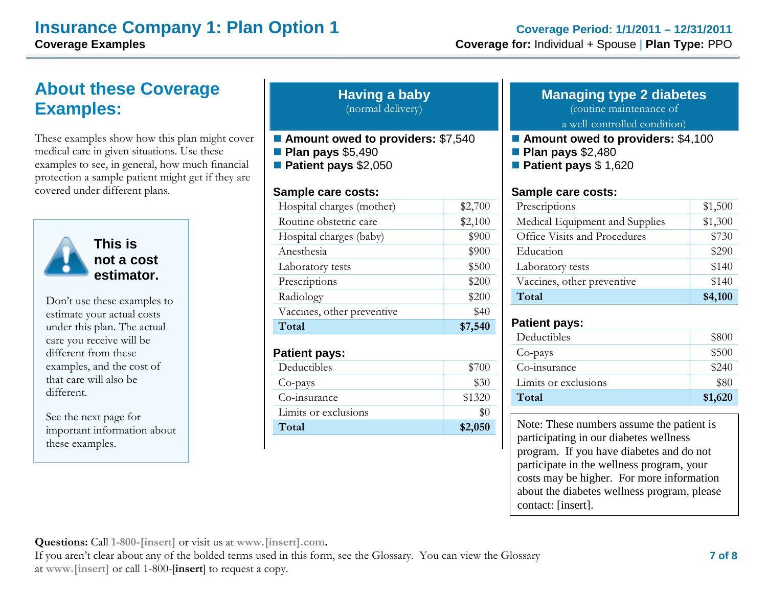# **About these Coverage Examples:**

These examples show how this plan might cover medical care in given situations. Use these examples to see, in general, how much financial protection a sample patient might get if they are covered under different plans.



**This is not a cost estimator.** 

Don't use these examples to estimate your actual costs under this plan. The actual care you receive will be different from these examples, and the cost of that care will also be different.

See the next page for important information about these examples.

### **Having a baby** (normal delivery)

- **Amount owed to providers:** \$7,540 **Plan pays** \$5,490
- **Patient pays** \$2,050

### **Sample care costs:**

| Hospital charges (mother)  | \$2,700 |
|----------------------------|---------|
| Routine obstetric care     | \$2,100 |
| Hospital charges (baby)    | \$900   |
| Anesthesia                 | \$900   |
| Laboratory tests           | \$500   |
| Prescriptions              | \$200   |
| Radiology                  | \$200   |
| Vaccines, other preventive | \$40    |
| Total                      | \$7,5   |

#### **Patient pays:**

| Deductibles          | \$700   |
|----------------------|---------|
| Co-pays              | \$30    |
| Co-insurance         | \$1320  |
| Limits or exclusions |         |
| Total                | \$2,050 |

# **Managing type 2 diabetes**

(routine maintenance of

a well-controlled condition)

- **Amount owed to providers:** \$4,100
- **Plan pays** \$2,480
- **Patient pays** \$ 1,620

## **Sample care costs:**

| Prescriptions                  | \$1,500 |
|--------------------------------|---------|
| Medical Equipment and Supplies | \$1,300 |
| Office Visits and Procedures   | \$730   |
| Education                      | \$290   |
| Laboratory tests               | \$140   |
| Vaccines, other preventive     | \$140   |
| Total                          | \$4,100 |

## **Patient pays:**

| Deductibles          | \$800         |
|----------------------|---------------|
| Co-pays              | \$500         |
| Co-insurance         | $\sqrt{$240}$ |
| Limits or exclusions | \$80          |
| Total                | \$1,620       |

Note: These numbers assume the patient is participating in our diabetes wellness program. If you have diabetes and do not participate in the wellness program, your costs may be higher. For more information about the diabetes wellness program, please contact: [insert].

**Questions:** Call **1-800-[insert]** or visit us at **www.[insert].com.**

If you aren't clear about any of the bolded terms used in this form, see the Glossary. You can view the Glossary at **www.[insert]** or call 1-800-[**insert**] to request a copy.